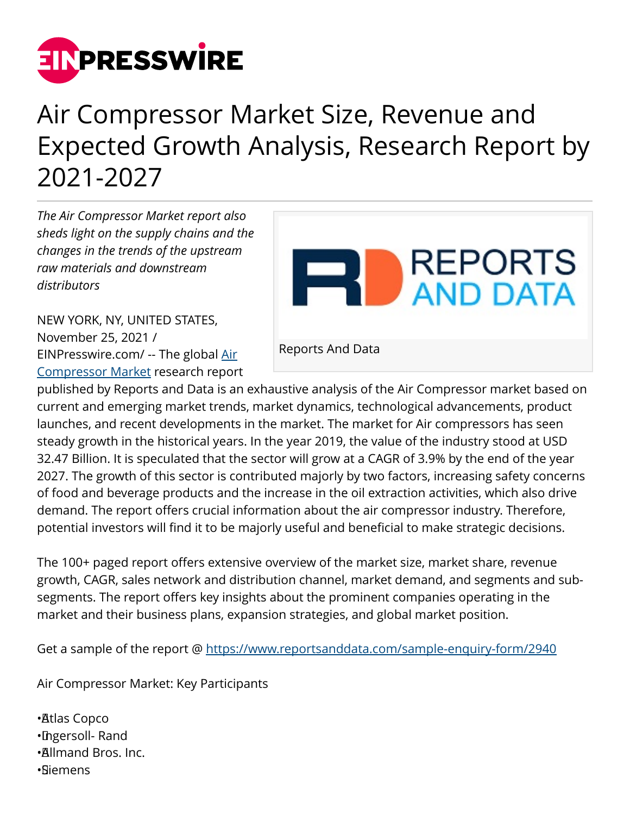

## Air Compressor Market Size, Revenue and Expected Growth Analysis, Research Report by 2021-2027

*The Air Compressor Market report also sheds light on the supply chains and the changes in the trends of the upstream raw materials and downstream distributors*

**REPORTS EN DEPORTS** Reports And Data

NEW YORK, NY, UNITED STATES, November 25, 2021 / [EINPresswire.com](http://www.einpresswire.com)/ -- The global [Air](https://www.reportsanddata.com/report-detail/air-compressor-market) [Compressor Market](https://www.reportsanddata.com/report-detail/air-compressor-market) research report

published by Reports and Data is an exhaustive analysis of the Air Compressor market based on current and emerging market trends, market dynamics, technological advancements, product launches, and recent developments in the market. The market for Air compressors has seen steady growth in the historical years. In the year 2019, the value of the industry stood at USD 32.47 Billion. It is speculated that the sector will grow at a CAGR of 3.9% by the end of the year 2027. The growth of this sector is contributed majorly by two factors, increasing safety concerns of food and beverage products and the increase in the oil extraction activities, which also drive demand. The report offers crucial information about the air compressor industry. Therefore, potential investors will find it to be majorly useful and beneficial to make strategic decisions.

The 100+ paged report offers extensive overview of the market size, market share, revenue growth, CAGR, sales network and distribution channel, market demand, and segments and subsegments. The report offers key insights about the prominent companies operating in the market and their business plans, expansion strategies, and global market position.

Get a sample of the report @<https://www.reportsanddata.com/sample-enquiry-form/2940>

Air Compressor Market: Key Participants

• Atlas Copco • Ingersoll- Rand • Allmand Bros. Inc. • Siemens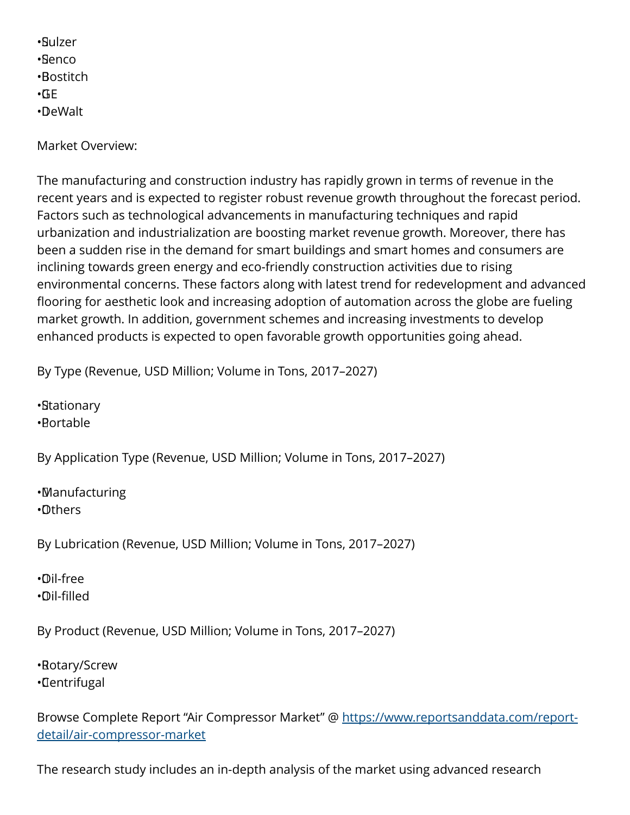• Sulzer • Senco • Bostitch  $\cdot$ GE • DeWalt

Market Overview:

The manufacturing and construction industry has rapidly grown in terms of revenue in the recent years and is expected to register robust revenue growth throughout the forecast period. Factors such as technological advancements in manufacturing techniques and rapid urbanization and industrialization are boosting market revenue growth. Moreover, there has been a sudden rise in the demand for smart buildings and smart homes and consumers are inclining towards green energy and eco-friendly construction activities due to rising environmental concerns. These factors along with latest trend for redevelopment and advanced flooring for aesthetic look and increasing adoption of automation across the globe are fueling market growth. In addition, government schemes and increasing investments to develop enhanced products is expected to open favorable growth opportunities going ahead.

By Type (Revenue, USD Million; Volume in Tons, 2017–2027)

• Stationary • Portable

By Application Type (Revenue, USD Million; Volume in Tons, 2017–2027)

• Manufacturing • Others

By Lubrication (Revenue, USD Million; Volume in Tons, 2017–2027)

• Oil-free • Oil-filled

By Product (Revenue, USD Million; Volume in Tons, 2017–2027)

• Rotary/Screw • Centrifugal

Browse Complete Report "Air Compressor Market" @ [https://www.reportsanddata.com/report](https://www.reportsanddata.com/report-detail/air-compressor-market)[detail/air-compressor-market](https://www.reportsanddata.com/report-detail/air-compressor-market)

The research study includes an in-depth analysis of the market using advanced research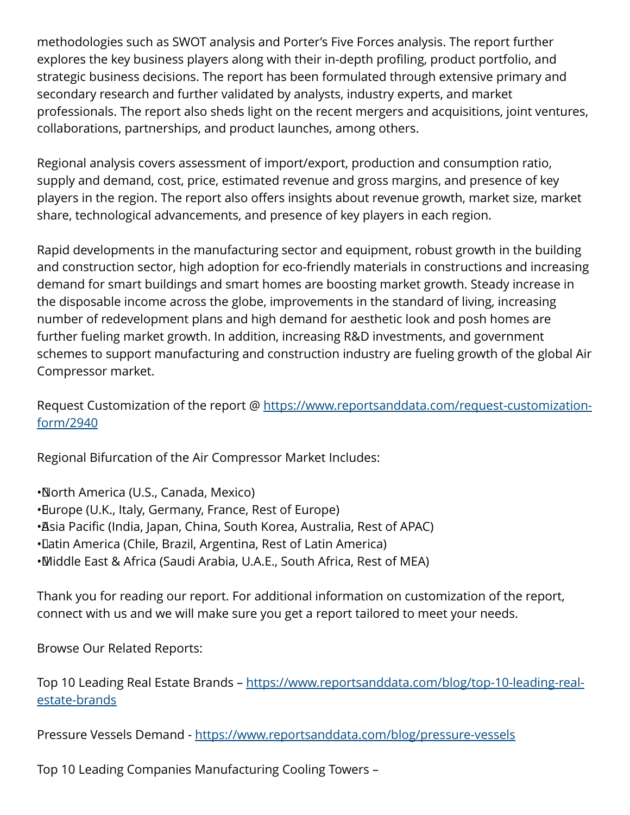methodologies such as SWOT analysis and Porter's Five Forces analysis. The report further explores the key business players along with their in-depth profiling, product portfolio, and strategic business decisions. The report has been formulated through extensive primary and secondary research and further validated by analysts, industry experts, and market professionals. The report also sheds light on the recent mergers and acquisitions, joint ventures, collaborations, partnerships, and product launches, among others.

Regional analysis covers assessment of import/export, production and consumption ratio, supply and demand, cost, price, estimated revenue and gross margins, and presence of key players in the region. The report also offers insights about revenue growth, market size, market share, technological advancements, and presence of key players in each region.

Rapid developments in the manufacturing sector and equipment, robust growth in the building and construction sector, high adoption for eco-friendly materials in constructions and increasing demand for smart buildings and smart homes are boosting market growth. Steady increase in the disposable income across the globe, improvements in the standard of living, increasing number of redevelopment plans and high demand for aesthetic look and posh homes are further fueling market growth. In addition, increasing R&D investments, and government schemes to support manufacturing and construction industry are fueling growth of the global Air Compressor market.

Request Customization of the report @ [https://www.reportsanddata.com/request-customization](https://www.reportsanddata.com/request-customization-form/2940)[form/2940](https://www.reportsanddata.com/request-customization-form/2940)

Regional Bifurcation of the Air Compressor Market Includes:

• North America (U.S., Canada, Mexico) • Europe (U.K., Italy, Germany, France, Rest of Europe) • Asia Pacific (India, Japan, China, South Korea, Australia, Rest of APAC) • Latin America (Chile, Brazil, Argentina, Rest of Latin America) • Middle East & Africa (Saudi Arabia, U.A.E., South Africa, Rest of MEA)

Thank you for reading our report. For additional information on customization of the report, connect with us and we will make sure you get a report tailored to meet your needs.

Browse Our Related Reports:

Top 10 Leading Real Estate Brands – [https://www.reportsanddata.com/blog/top-10-leading-real](https://www.reportsanddata.com/blog/top-10-leading-real-estate-brands)[estate-brands](https://www.reportsanddata.com/blog/top-10-leading-real-estate-brands)

Pressure Vessels Demand - <https://www.reportsanddata.com/blog/pressure-vessels>

Top 10 Leading Companies Manufacturing Cooling Towers –